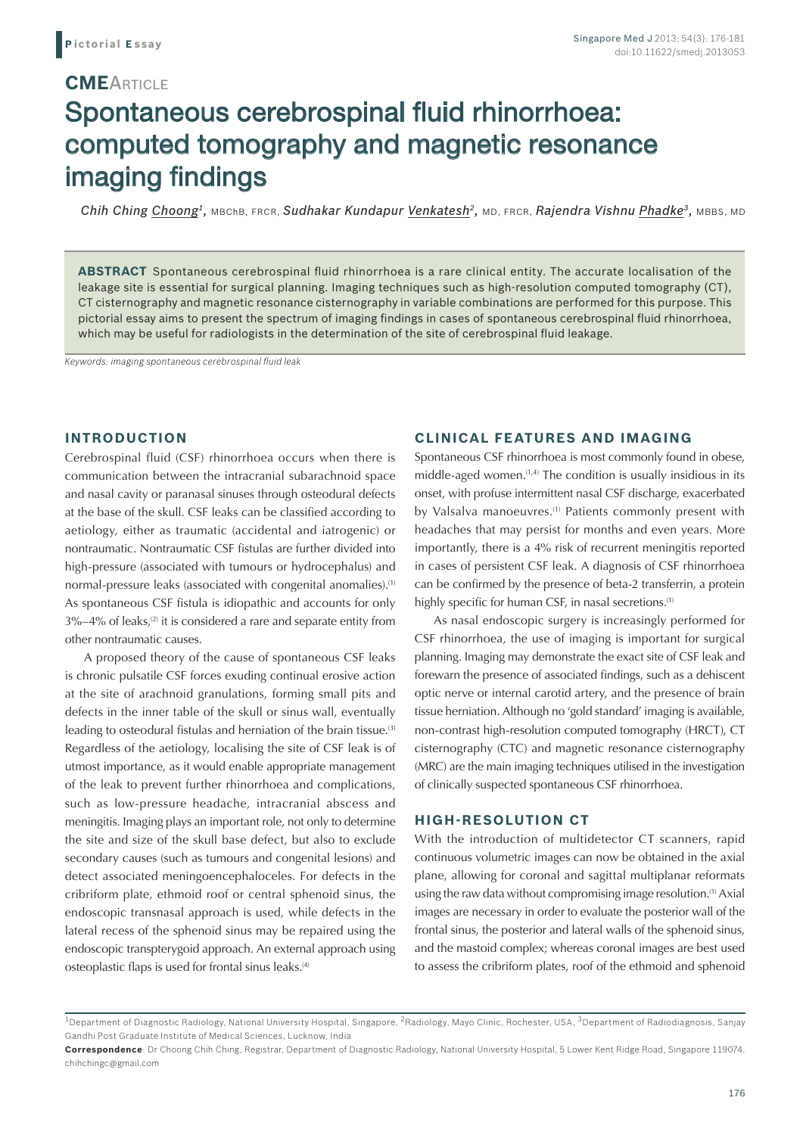## **CME**ARTICLE

# Spontaneous cerebrospinal fluid rhinorrhoea: computed tomography and magnetic resonance imaging findings

*Chih Ching Choong1,* MBChB, FRCR, *Sudhakar Kundapur Venkatesh2,* MD, FRCR, *Rajendra Vishnu Phadke3,* MBBS, MD

**ABSTRACT** Spontaneous cerebrospinal fluid rhinorrhoea is a rare clinical entity. The accurate localisation of the leakage site is essential for surgical planning. Imaging techniques such as high-resolution computed tomography (CT), CT cisternography and magnetic resonance cisternography in variable combinations are performed for this purpose. This pictorial essay aims to present the spectrum of imaging findings in cases of spontaneous cerebrospinal fluid rhinorrhoea, which may be useful for radiologists in the determination of the site of cerebrospinal fluid leakage.

*Keywords: imaging spontaneous cerebrospinal fluid leak*

#### **INTRODUCTION**

Cerebrospinal fluid (CSF) rhinorrhoea occurs when there is communication between the intracranial subarachnoid space and nasal cavity or paranasal sinuses through osteodural defects at the base of the skull. CSF leaks can be classified according to aetiology, either as traumatic (accidental and iatrogenic) or nontraumatic. Nontraumatic CSF fistulas are further divided into high-pressure (associated with tumours or hydrocephalus) and normal-pressure leaks (associated with congenital anomalies).<sup>(1)</sup> As spontaneous CSF fistula is idiopathic and accounts for only  $3\% - 4\%$  of leaks,<sup>(2)</sup> it is considered a rare and separate entity from other nontraumatic causes.

A proposed theory of the cause of spontaneous CSF leaks is chronic pulsatile CSF forces exuding continual erosive action at the site of arachnoid granulations, forming small pits and defects in the inner table of the skull or sinus wall, eventually leading to osteodural fistulas and herniation of the brain tissue.(3) Regardless of the aetiology, localising the site of CSF leak is of utmost importance, as it would enable appropriate management of the leak to prevent further rhinorrhoea and complications, such as low-pressure headache, intracranial abscess and meningitis. Imaging plays an important role, not only to determine the site and size of the skull base defect, but also to exclude secondary causes (such as tumours and congenital lesions) and detect associated meningoencephaloceles. For defects in the cribriform plate, ethmoid roof or central sphenoid sinus, the endoscopic transnasal approach is used, while defects in the lateral recess of the sphenoid sinus may be repaired using the endoscopic transpterygoid approach. An external approach using osteoplastic flaps is used for frontal sinus leaks.<sup>(4)</sup>

### **CLINICAL FEATURES AND IMAGING**

Spontaneous CSF rhinorrhoea is most commonly found in obese, middle-aged women. $(1,4)$  The condition is usually insidious in its onset, with profuse intermittent nasal CSF discharge, exacerbated by Valsalva manoeuvres.<sup>(1)</sup> Patients commonly present with headaches that may persist for months and even years. More importantly, there is a 4% risk of recurrent meningitis reported in cases of persistent CSF leak. A diagnosis of CSF rhinorrhoea can be confirmed by the presence of beta-2 transferrin, a protein highly specific for human CSF, in nasal secretions.<sup>(1)</sup>

As nasal endoscopic surgery is increasingly performed for CSF rhinorrhoea, the use of imaging is important for surgical planning. Imaging may demonstrate the exact site of CSF leak and forewarn the presence of associated findings, such as a dehiscent optic nerve or internal carotid artery, and the presence of brain tissue herniation. Although no 'gold standard' imaging is available, non-contrast high-resolution computed tomography (HRCT), CT cisternography (CTC) and magnetic resonance cisternography (MRC) are the main imaging techniques utilised in the investigation of clinically suspected spontaneous CSF rhinorrhoea.

#### **HIGH-RESOLUTION CT**

With the introduction of multidetector CT scanners, rapid continuous volumetric images can now be obtained in the axial plane, allowing for coronal and sagittal multiplanar reformats using the raw data without compromising image resolution.(1) Axial images are necessary in order to evaluate the posterior wall of the frontal sinus, the posterior and lateral walls of the sphenoid sinus, and the mastoid complex; whereas coronal images are best used to assess the cribriform plates, roof of the ethmoid and sphenoid

<sup>&</sup>lt;sup>1</sup>Department of Diagnostic Radiology, National University Hospital, Singapore, <sup>2</sup>Radiology, Mayo Clinic, Rochester, USA, <sup>3</sup>Department of Radiodiagnosis, Sanjay Gandhi Post Graduate Institute of Medical Sciences, Lucknow, India

**Correspondence**: Dr Choong Chih Ching, Registrar, Department of Diagnostic Radiology, National University Hospital, 5 Lower Kent Ridge Road, Singapore 119074. chihchingc@gmail.com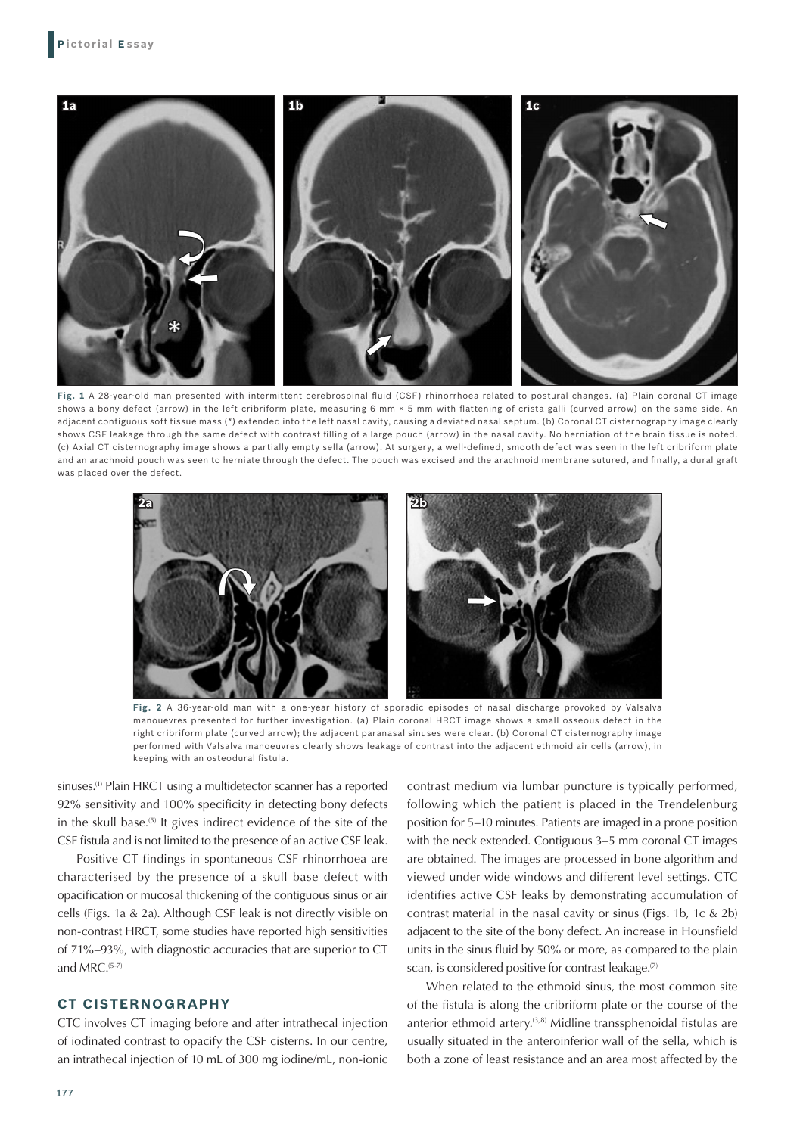

**Fig. 1** A 28-year-old man presented with intermittent cerebrospinal fluid (CSF) rhinorrhoea related to postural changes. (a) Plain coronal CT image shows a bony defect (arrow) in the left cribriform plate, measuring 6 mm × 5 mm with flattening of crista galli (curved arrow) on the same side. An adjacent contiguous soft tissue mass (\*) extended into the left nasal cavity, causing a deviated nasal septum. (b) Coronal CT cisternography image clearly shows CSF leakage through the same defect with contrast filling of a large pouch (arrow) in the nasal cavity. No herniation of the brain tissue is noted. (c) Axial CT cisternography image shows a partially empty sella (arrow). At surgery, a well-defined, smooth defect was seen in the left cribriform plate and an arachnoid pouch was seen to herniate through the defect. The pouch was excised and the arachnoid membrane sutured, and finally, a dural graft was placed over the defect.



**Fig. 2** A 36-year-old man with a one-year history of sporadic episodes of nasal discharge provoked by Valsalva manouevres presented for further investigation. (a) Plain coronal HRCT image shows a small osseous defect in the right cribriform plate (curved arrow); the adjacent paranasal sinuses were clear. (b) Coronal CT cisternography image performed with Valsalva manoeuvres clearly shows leakage of contrast into the adjacent ethmoid air cells (arrow), in keeping with an osteodural fistula.

sinuses.<sup>(1)</sup> Plain HRCT using a multidetector scanner has a reported 92% sensitivity and 100% specificity in detecting bony defects in the skull base.(5) It gives indirect evidence of the site of the CSF fistula and is not limited to the presence of an active CSF leak.

Positive CT findings in spontaneous CSF rhinorrhoea are characterised by the presence of a skull base defect with opacification or mucosal thickening of the contiguous sinus or air cells (Figs. 1a & 2a). Although CSF leak is not directly visible on non-contrast HRCT, some studies have reported high sensitivities of 71%–93%, with diagnostic accuracies that are superior to CT and MRC.(5-7)

#### **CT CISTERNOGRAPHY**

CTC involves CT imaging before and after intrathecal injection of iodinated contrast to opacify the CSF cisterns. In our centre, an intrathecal injection of 10 mL of 300 mg iodine/mL, non-ionic contrast medium via lumbar puncture is typically performed, following which the patient is placed in the Trendelenburg position for 5–10 minutes. Patients are imaged in a prone position with the neck extended. Contiguous 3–5 mm coronal CT images are obtained. The images are processed in bone algorithm and viewed under wide windows and different level settings. CTC identifies active CSF leaks by demonstrating accumulation of contrast material in the nasal cavity or sinus (Figs. 1b, 1c & 2b) adjacent to the site of the bony defect. An increase in Hounsfield units in the sinus fluid by 50% or more, as compared to the plain scan, is considered positive for contrast leakage.<sup>(7)</sup>

When related to the ethmoid sinus, the most common site of the fistula is along the cribriform plate or the course of the anterior ethmoid artery.<sup>(3,8)</sup> Midline transsphenoidal fistulas are usually situated in the anteroinferior wall of the sella, which is both a zone of least resistance and an area most affected by the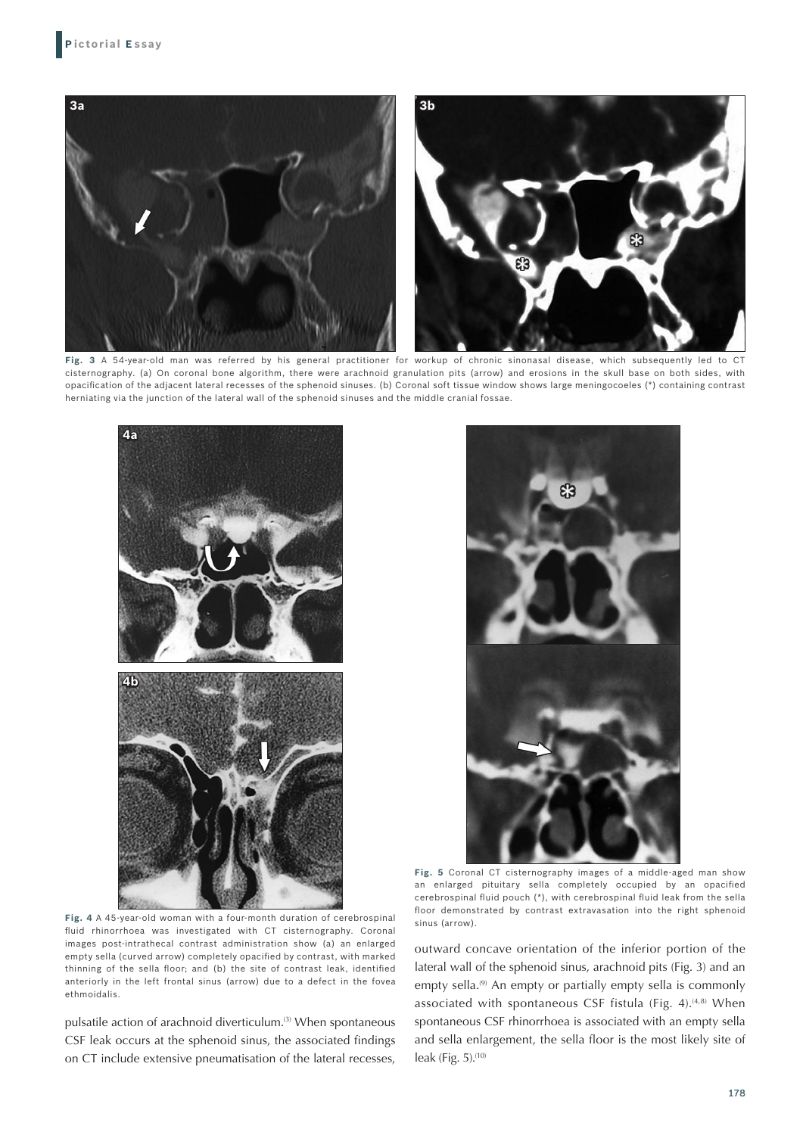

**Fig. 3** A 54-year-old man was referred by his general practitioner for workup of chronic sinonasal disease, which subsequently led to CT cisternography. (a) On coronal bone algorithm, there were arachnoid granulation pits (arrow) and erosions in the skull base on both sides, with opacification of the adjacent lateral recesses of the sphenoid sinuses. (b) Coronal soft tissue window shows large meningocoeles (\*) containing contrast herniating via the junction of the lateral wall of the sphenoid sinuses and the middle cranial fossae.



**Fig. 4** A 45-year-old woman with a four-month duration of cerebrospinal fluid rhinorrhoea was investigated with CT cisternography. Coronal images post-intrathecal contrast administration show (a) an enlarged empty sella (curved arrow) completely opacified by contrast, with marked thinning of the sella floor; and (b) the site of contrast leak, identified anteriorly in the left frontal sinus (arrow) due to a defect in the fovea ethmoidalis.

pulsatile action of arachnoid diverticulum.<sup>(3)</sup> When spontaneous CSF leak occurs at the sphenoid sinus, the associated findings on CT include extensive pneumatisation of the lateral recesses,

**Fig. 5** Coronal CT cisternography images of a middle-aged man show an enlarged pituitary sella completely occupied by an opacified cerebrospinal fluid pouch (\*), with cerebrospinal fluid leak from the sella floor demonstrated by contrast extravasation into the right sphenoid sinus (arrow).

outward concave orientation of the inferior portion of the lateral wall of the sphenoid sinus, arachnoid pits (Fig. 3) and an empty sella.<sup>(9)</sup> An empty or partially empty sella is commonly associated with spontaneous CSF fistula (Fig. 4).<sup>(4,8)</sup> When spontaneous CSF rhinorrhoea is associated with an empty sella and sella enlargement, the sella floor is the most likely site of leak (Fig. 5). $(10)$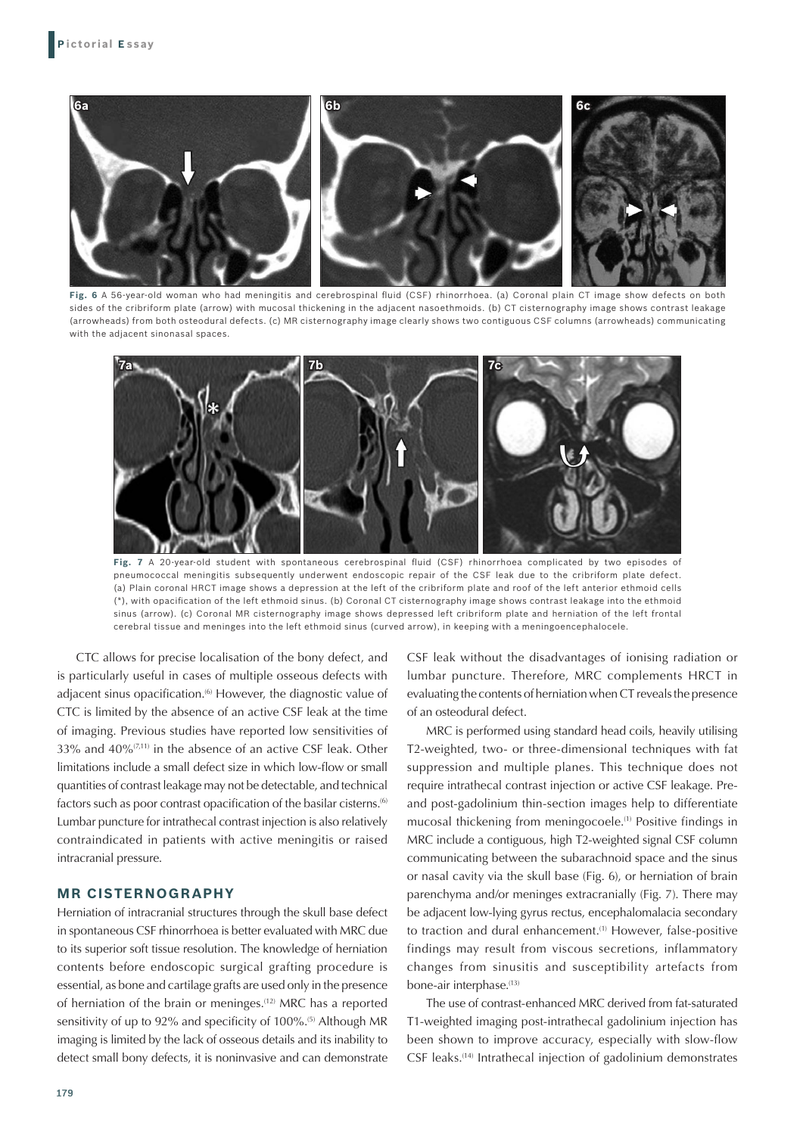

**Fig. 6** A 56-year-old woman who had meningitis and cerebrospinal fluid (CSF) rhinorrhoea. (a) Coronal plain CT image show defects on both sides of the cribriform plate (arrow) with mucosal thickening in the adjacent nasoethmoids. (b) CT cisternography image shows contrast leakage (arrowheads) from both osteodural defects. (c) MR cisternography image clearly shows two contiguous CSF columns (arrowheads) communicating with the adjacent sinonasal spaces.



**Fig. 7** A 20-year-old student with spontaneous cerebrospinal fluid (CSF) rhinorrhoea complicated by two episodes of pneumococcal meningitis subsequently underwent endoscopic repair of the CSF leak due to the cribriform plate defect. (a) Plain coronal HRCT image shows a depression at the left of the cribriform plate and roof of the left anterior ethmoid cells (\*), with opacification of the left ethmoid sinus. (b) Coronal CT cisternography image shows contrast leakage into the ethmoid sinus (arrow). (c) Coronal MR cisternography image shows depressed left cribriform plate and herniation of the left frontal cerebral tissue and meninges into the left ethmoid sinus (curved arrow), in keeping with a meningoencephalocele.

CTC allows for precise localisation of the bony defect, and is particularly useful in cases of multiple osseous defects with adjacent sinus opacification.<sup>(6)</sup> However, the diagnostic value of CTC is limited by the absence of an active CSF leak at the time of imaging. Previous studies have reported low sensitivities of 33% and 40%(7,11) in the absence of an active CSF leak. Other limitations include a small defect size in which low-flow or small quantities of contrast leakage may not be detectable, and technical factors such as poor contrast opacification of the basilar cisterns.<sup>(6)</sup> Lumbar puncture for intrathecal contrast injection is also relatively contraindicated in patients with active meningitis or raised intracranial pressure.

#### **MR CISTERNOGRAPHY**

Herniation of intracranial structures through the skull base defect in spontaneous CSF rhinorrhoea is better evaluated with MRC due to its superior soft tissue resolution. The knowledge of herniation contents before endoscopic surgical grafting procedure is essential, as bone and cartilage grafts are used only in the presence of herniation of the brain or meninges.(12) MRC has a reported sensitivity of up to 92% and specificity of 100%.<sup>(5)</sup> Although MR imaging is limited by the lack of osseous details and its inability to detect small bony defects, it is noninvasive and can demonstrate

CSF leak without the disadvantages of ionising radiation or lumbar puncture. Therefore, MRC complements HRCT in evaluating the contents of herniation when CT reveals the presence of an osteodural defect.

MRC is performed using standard head coils, heavily utilising T2-weighted, two- or three-dimensional techniques with fat suppression and multiple planes. This technique does not require intrathecal contrast injection or active CSF leakage. Preand post-gadolinium thin-section images help to differentiate mucosal thickening from meningocoele.<sup>(1)</sup> Positive findings in MRC include a contiguous, high T2-weighted signal CSF column communicating between the subarachnoid space and the sinus or nasal cavity via the skull base (Fig. 6), or herniation of brain parenchyma and/or meninges extracranially (Fig. 7). There may be adjacent low-lying gyrus rectus, encephalomalacia secondary to traction and dural enhancement.<sup>(1)</sup> However, false-positive findings may result from viscous secretions, inflammatory changes from sinusitis and susceptibility artefacts from bone-air interphase.<sup>(13)</sup>

The use of contrast-enhanced MRC derived from fat-saturated T1-weighted imaging post-intrathecal gadolinium injection has been shown to improve accuracy, especially with slow-flow CSF leaks.(14) Intrathecal injection of gadolinium demonstrates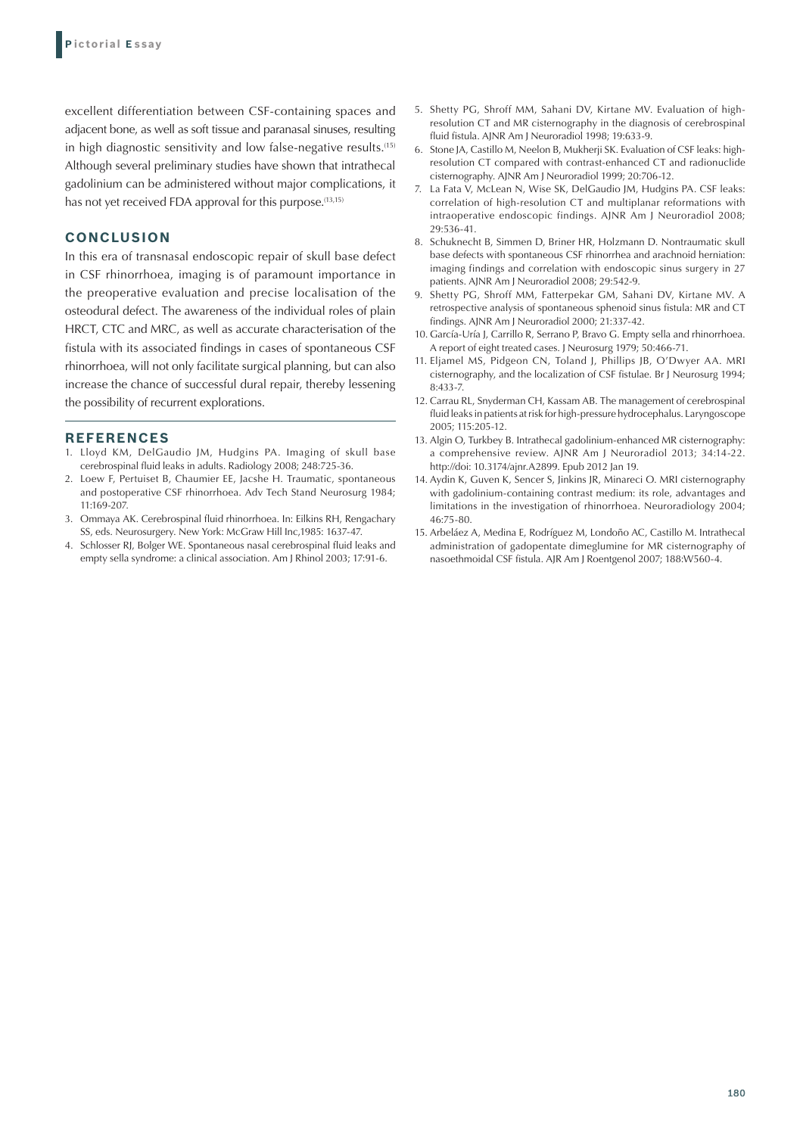excellent differentiation between CSF-containing spaces and adjacent bone, as well as soft tissue and paranasal sinuses, resulting in high diagnostic sensitivity and low false-negative results.(15) Although several preliminary studies have shown that intrathecal gadolinium can be administered without major complications, it has not yet received FDA approval for this purpose.<sup>(13,15)</sup>

#### **CONCLUSION**

In this era of transnasal endoscopic repair of skull base defect in CSF rhinorrhoea, imaging is of paramount importance in the preoperative evaluation and precise localisation of the osteodural defect. The awareness of the individual roles of plain HRCT, CTC and MRC, as well as accurate characterisation of the fistula with its associated findings in cases of spontaneous CSF rhinorrhoea, will not only facilitate surgical planning, but can also increase the chance of successful dural repair, thereby lessening the possibility of recurrent explorations.

#### **REFERENCES**

- 1. Lloyd KM, DelGaudio JM, Hudgins PA. Imaging of skull base cerebrospinal fluid leaks in adults. Radiology 2008; 248:725-36.
- 2. Loew F, Pertuiset B, Chaumier EE, Jacshe H. Traumatic, spontaneous and postoperative CSF rhinorrhoea. Adv Tech Stand Neurosurg 1984; 11:169-207.
- 3. Ommaya AK. Cerebrospinal fluid rhinorrhoea. In: Eilkins RH, Rengachary SS, eds. Neurosurgery. New York: McGraw Hill Inc,1985: 1637-47.
- 4. Schlosser RJ, Bolger WE. Spontaneous nasal cerebrospinal fluid leaks and empty sella syndrome: a clinical association. Am J Rhinol 2003; 17:91-6.
- 5. Shetty PG, Shroff MM, Sahani DV, Kirtane MV. Evaluation of highresolution CT and MR cisternography in the diagnosis of cerebrospinal fluid fistula. AJNR Am J Neuroradiol 1998; 19:633-9.
- 6. Stone JA, Castillo M, Neelon B, Mukherji SK. Evaluation of CSF leaks: highresolution CT compared with contrast-enhanced CT and radionuclide cisternography. AJNR Am J Neuroradiol 1999; 20:706-12.
- La Fata V, McLean N, Wise SK, DelGaudio JM, Hudgins PA. CSF leaks: correlation of high-resolution CT and multiplanar reformations with intraoperative endoscopic findings. AJNR Am J Neuroradiol 2008; 29:536-41.
- 8. Schuknecht B, Simmen D, Briner HR, Holzmann D. Nontraumatic skull base defects with spontaneous CSF rhinorrhea and arachnoid herniation: imaging findings and correlation with endoscopic sinus surgery in 27 patients. AJNR Am J Neuroradiol 2008; 29:542-9.
- 9. Shetty PG, Shroff MM, Fatterpekar GM, Sahani DV, Kirtane MV. A retrospective analysis of spontaneous sphenoid sinus fistula: MR and CT findings. AJNR Am J Neuroradiol 2000; 21:337-42.
- 10. García-Uría J, Carrillo R, Serrano P, Bravo G. Empty sella and rhinorrhoea. A report of eight treated cases. J Neurosurg 1979; 50:466-71.
- 11. Eljamel MS, Pidgeon CN, Toland J, Phillips JB, O'Dwyer AA. MRI cisternography, and the localization of CSF fistulae. Br J Neurosurg 1994; 8:433-7.
- 12. Carrau RL, Snyderman CH, Kassam AB. The management of cerebrospinal fluid leaks in patients at risk for high-pressure hydrocephalus. Laryngoscope 2005; 115:205-12.
- 13. Algin O, Turkbey B. Intrathecal gadolinium-enhanced MR cisternography: a comprehensive review. AJNR Am J Neuroradiol 2013; 34:14-22. http://doi: 10.3174/ajnr.A2899. Epub 2012 Jan 19.
- 14. Aydin K, Guven K, Sencer S, Jinkins JR, Minareci O. MRI cisternography with gadolinium-containing contrast medium: its role, advantages and limitations in the investigation of rhinorrhoea. Neuroradiology 2004; 46:75-80.
- 15. Arbeláez A, Medina E, Rodríguez M, Londoño AC, Castillo M. Intrathecal administration of gadopentate dimeglumine for MR cisternography of nasoethmoidal CSF fistula. AJR Am J Roentgenol 2007; 188:W560-4.